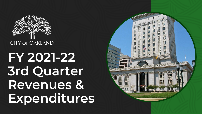

**FY 2021-22 3rd Quarter Revenues & Expenditures**

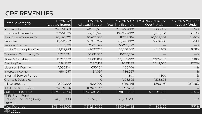### **GPF REVENUES**

| <b>Revenue Category</b>                                              | FY 2021-22<br>Adopted Budget | FY2021-22<br>Adjusted Budget | FY 2021-22 Q3<br>Year End Estimate | FY 2021-22 Year-End<br>Over / (Under) | FY 2021-22 Year-End<br>% Over / (Under) |
|----------------------------------------------------------------------|------------------------------|------------------------------|------------------------------------|---------------------------------------|-----------------------------------------|
| <b>Property Tax</b>                                                  | 247, 151, 668                | 247,151,668                  | 250,460,000                        | 3,308,332                             | 1.34%                                   |
| <b>Business License Tax</b>                                          | 97,751,670                   | 97,751,670                   | 104,230,000                        | 6,478,330                             | 6.63%                                   |
| Real Estate Transfer Tax                                             | 96,426,320                   | 96,426,320                   | 117, 115, 584                      | 20,689,264                            | 21.46%                                  |
| Sales Tax                                                            | 58,970,992                   | 58,970,992                   | 61,040,000                         | 2,069,008                             | 3.51%                                   |
| Service Charges                                                      | 50,273,399                   | 50,273,399                   | 50,273,399                         |                                       | $-$ %                                   |
| Utility Consumption Tax                                              | 49,137,923                   | 49,137,923                   | 53,256,860                         | 4,118,937                             | 8.38%                                   |
| Transient Occupancy Tax                                              | 16,733,334                   | 16,733,334                   | 16,733,334                         |                                       | $-$ %                                   |
| <b>Fines &amp; Penalties</b>                                         | 15,735,857                   | 15,735,857                   | 18,440,000                         | 2,704,143                             | 17.18%                                  |
| Parking Tax                                                          | 7,841,157                    | 7,841,157                    | 9,183,183                          | 1,342,026                             | 17.12%                                  |
| Licenses & Permits                                                   | 4,050,104                    | 4,050,104                    | 4,050,104                          |                                       | $-$ %                                   |
| Interest Income                                                      | 484,097                      | 484,097                      | 484,097                            |                                       | $-$ %                                   |
| Internal Service Funds                                               |                              | O                            | 1,800                              | 1,800                                 | $-$ %                                   |
| <b>Grants &amp; Subsidies</b>                                        |                              | $\bigcirc$                   | 1,126,825                          | 1,126,825                             | $-$ %                                   |
| Miscellaneous                                                        | 1,600,000                    | 1,600,000                    | 6,196,461                          | 4,596,461                             | 287.28%                                 |
| Inter-Fund Transfers                                                 | 89,926,745                   | 89,926,745                   | 89,926,745                         |                                       | $-$ %                                   |
| Sub-Total Revenue                                                    | \$736,083,266                | \$736,083,266                | \$781,018,392                      | \$44,935,126                          | 6.10 %                                  |
| <b>TRFS From Fund</b><br><b>Balance (including Carry</b><br>Forward) | 48,310,000                   | 76,728,790                   | 76,728,790                         |                                       | $-$ %                                   |
| Total Revenue                                                        | \$784,393,266                | \$812,812,056                | \$859,247,182                      | \$44,935,126                          | 5.71 %                                  |

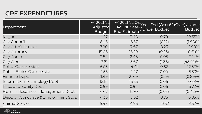### **GPF EXPENDITURES**

| Department                           | FY 2021-22<br>Adjusted<br>Budget | <b>End Estimate</b> |        | FY 2021-22 Q3<br>Adjust. Year-Year-End (Over)% (Over) / Under<br>Adjust. Year-<br>// Under Budget |
|--------------------------------------|----------------------------------|---------------------|--------|---------------------------------------------------------------------------------------------------|
| Mayor                                | 4.27                             | 3.48                | 0.79   | 18.55%                                                                                            |
| City Council                         | 6.45                             | 6.57                | (0.12) | $(1.88)\%$                                                                                        |
| City Administrator                   | 7.90                             | 7.67                | 0.23   | 2.90%                                                                                             |
| <b>City Attorney</b>                 | 15.06                            | 15.29               | (0.23) | $(1.51)$ %                                                                                        |
| <b>City Auditor</b>                  | 2.54                             | 2.48                | 0.05   | 2.14%                                                                                             |
| City Clerk                           | 3.81                             | 5.67                | (1.86) | $(48.92)\%$                                                                                       |
| Police Commission                    | 5.03                             | 4.41                | 0.62   | 12.37%                                                                                            |
| <b>Public Ethics Commission</b>      | 1.56                             | 7.47                | 0.09   | 5.53%                                                                                             |
| Finance Dept.                        | 21.49                            | 21.69               | (0.19) | $(0.89)\%$                                                                                        |
| Information Technology Dept.         | 15.61                            | 15.55               | 0.06   | 0.39%                                                                                             |
| Race and Equity Dept.                | 0.99                             | 0.94                | 0.06   | 5.72%                                                                                             |
| Human Resources Management Dept.     | 6.67                             | 6.70                | (0.03) | $(0.42)\%$                                                                                        |
| Dept. of Workplace &Employment Stds. | 4.36                             | 3.62                | 0.73   | 16.83%                                                                                            |
| <b>Animal Services</b>               | 5.48                             | 4.96                | 0.52   | 9.52%                                                                                             |

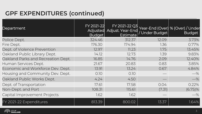### **GPF EXPENDITURES (continued)**

| Department                         | FY 2021-22<br>Adjusted<br>Budget | FY 2021-22 Q3<br>Adjust. Year-End<br><b>Estimate</b> | Under Budget | Year-End (Over) % (Over) / Under<br><b>Budget</b> |
|------------------------------------|----------------------------------|------------------------------------------------------|--------------|---------------------------------------------------|
| Police Dept.                       | 324.46                           | 312.37                                               | 12.09        | 3.73%                                             |
| Fire Dept.                         | 176.30                           | 174.94                                               | 1.36         | 0.77%                                             |
| Dept. of Violence Prevention       | 12.97                            | 11.23                                                | 1.75         | 13.45%                                            |
| Oakland Public Library Dept.       | 14.12                            | 12.73                                                | 1.39         | 9.83%                                             |
| Oakland Parks and Recreation Dept. | 16.85                            | 14.76                                                | 2.09         | 12.40%                                            |
| Human Services Dept.               | 21.67                            | 20.83                                                | 0.83         | 3.85%                                             |
| Economic and Workforce Dev. Dept.  | 13.91                            | 13.24                                                | 0.67         | 4.84%                                             |
| Housing and Community Dev. Dept.   | 0.10                             | 0.10                                                 |              | $-$ %                                             |
| Oakland Public Works Dept.         | 4.24                             | 4.50                                                 |              | $-\%$                                             |
| Dept. of Transportation            | 17.61                            | 17.58                                                | 0.04         | 0.22%                                             |
| Non-Dept. and Port                 | 108.31                           | 115.61                                               | (7.31)       | $(6.75)\%$                                        |
| Capital Improvement Projects       | 1.62                             | 1.62                                                 |              | $-$ %                                             |
| FY 2021-22 Expenditures            | 813.39                           | 800.02                                               | 13.37        | 1.64%                                             |

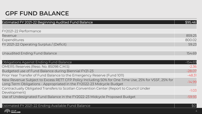### **GPF FUND BALANCE**

| <b>Estimated FY 2021-22 Beginning Audited Fund Balance</b>                                                                                                                   | \$95.46   |
|------------------------------------------------------------------------------------------------------------------------------------------------------------------------------|-----------|
| FY2021-22 Performance                                                                                                                                                        |           |
| Revenue                                                                                                                                                                      | 859.25    |
| Expenditures                                                                                                                                                                 | 800.02    |
| FY 2021-22 Operating Surplus / (Deficit)                                                                                                                                     | 59.23     |
|                                                                                                                                                                              |           |
| Unaudited Ending Fund Balance                                                                                                                                                | 154.69    |
|                                                                                                                                                                              |           |
| Obligations Against Ending Fund Balance                                                                                                                                      | $-154.69$ |
| OMERS Reserves (Reso. No. 85098 C.M.S)                                                                                                                                       | $-2.36$   |
| Budgeted use of Fund Balance during Biennial FY21-23                                                                                                                         | $-28.07$  |
| Prior Year Transfer of Fund Balance to the Emergency Reserve (Fund 1011)                                                                                                     | $-48.31$  |
| New Revenue Subject to Excess RETT CFP Policy Including 50% for One Time Use, 25% for VSSF, 25% for<br>Long Term Obligations - Appropriated in the FY2022-23 Midcycle Budget | $-14.99$  |
| Contractually Obligated Transfers to Scotlan Convention Center (Report to Council Under<br>Development)                                                                      | $-1.03$   |
| Use of Undesignated Fund Balance in the FY2022-23 Midcycle Proposed Budget                                                                                                   | $-59.93$  |

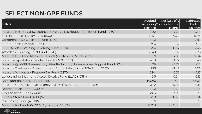### **SELECT NON-GPF FUNDS**

|                                                                                  | Audited        | Net (Use of) $\Lambda$                       | Estimated                |
|----------------------------------------------------------------------------------|----------------|----------------------------------------------|--------------------------|
| <b>FUND</b>                                                                      | <b>Balance</b> | Beginning Contrib. to Fund<br><b>Balance</b> | Ending<br><b>Balance</b> |
| Measure HH - Sugar Sweetened Beverage Distribution Tax (SSBT) Fund (1030)        | 7.82           | $-7.32$                                      | 0.14                     |
| Self-Insurance Liability Fund (1100) ^                                           | $-19.07$       | 0.79                                         | $-16.75$                 |
| Comprehensive Clean-Up Fund (1720)                                               | 4.31           | $-2.75$                                      | 2.95                     |
| Multipurpose Reserve Fund (1750)                                                 | $-0.66$        | $-0.57$                                      | $-0.6$                   |
| OPRCA Self Sustaining Revolving Fund (1820)                                      | 3.54           | $-0.07$                                      | 2.45                     |
| Affordable Housing Trust Fund (1870)                                             | 38.49          | $-35.02$                                     | 7.76                     |
| Measure B/BB and Measure F Funds (2211 to 2213, 2215 to 2220)                    | 31.21          | $-17.95$                                     | 17.84                    |
| State Transportation (Gas Tax) Funds (2230, 2232)                                | 4.59           | $-4.22$                                      | 9.45                     |
| Measure Q - OPR Preservation, Litter Reduction, Homelessness Support Fund (2244) | 11.99          | $-12.72$                                     | $-1.2$                   |
| Measure Z - Violence Prevention and Public Safety Act of 2014 Fund (2252)        | 1.73           | $-2.47$                                      | 0.26                     |
| Measure W - Vacant Property Tax Fund (2270)                                      | 0.94           | $-5.35$                                      | $-4.17$                  |
| Landscaping & Lighting Assess. District Fund (LLAD) (2310)                       | 0.5            | $-0.24$                                      | 0.13                     |
| Development Service Fund (2415)                                                  | 146.66         | $-77.1$                                      | 86.03                    |
| Measure C- Transient Occupancy Tax (TOT) Surcharge Fund (2419)                   | 0.22           | $-0.07$                                      | 0.15                     |
| Reproduction Fund (4300)*^                                                       | $-1.31$        | 0.26                                         | $-0.74$                  |
| City Facilities Fund (4400)*                                                     | 2.83           | $-3.95$                                      | 1.25                     |
| Central Stores Fund (4500)*^                                                     | $-3.58$        | 0.78                                         | $-2.84$                  |
| Purchasing Fund (4550)*^                                                         | $-0.21$        |                                              | $-0.28$                  |
| Measure KK Funds (5330, 5331, 5332, 5333, 5335)                                  | 112.79         | $-109.98$                                    | 2.81                     |

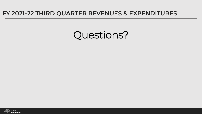#### **FY 2021-22 THIRD QUARTER REVENUES & EXPENDITURES**

# Questions?

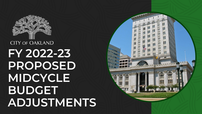# **CITY OF OAKLAND FY 2022-23 PROPOSED MIDCYCLE BUDGET ADJUSTMENTS**



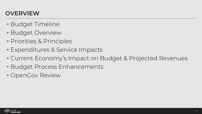### **OVERVIEW**

- Budget Timeline
- Budget Overview
- Priorities & Principles
- Expenditures & Service Impacts
- Current Economy's Impact on Budget & Projected Revenues
- Budget Process Enhancements
- OpenGov Review

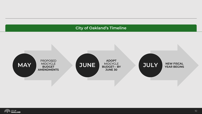#### **City of Oakland's Timeline**



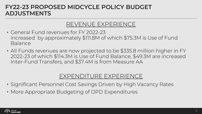### REVENUE EXPERIENCE

- General Fund revenues for FY 2022-23 increased by approximately \$111.8M of which \$75.3M is Use of Fund Balance
- All Funds revenues are now projected to be \$335.8 million higher in FY 2022-23 of which \$114.3M is Use of Fund Balance, \$49.3M are increased Inter-Fund Transfers, and \$37.4M is from Measure AA

### EXPENDITURE EXPERIENCE

- Significant Personnel Cost Savings Driven by High Vacancy Rates
- More Appropriate Budgeting of OPD Expenditures

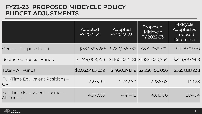|                                                      | Adopted<br>FY 2021-22 | Adopted<br>FY 2022-23 | Proposed<br>Midcycle<br>FY 2022-23 | Midcycle<br><b>Adopted vs</b><br>Proposed<br><b>Difference</b> |
|------------------------------------------------------|-----------------------|-----------------------|------------------------------------|----------------------------------------------------------------|
| <b>General Purpose Fund</b>                          | \$784,393,266         | \$760,238,332         | \$872,069,302                      | \$111,830,970                                                  |
| <b>Restricted Special Funds</b>                      | \$1,249,069,773       |                       | \$1,160,032,786 \$1,384,030,754    | \$223,997,968                                                  |
| <b>Total - All Funds</b>                             | \$2,033,463,039       |                       | \$1,920,271,118 \$2,256,100,056    | \$335,828,938                                                  |
| Full-Time Equivalent Positions -<br><b>GPF</b>       | 2,233.94              | 2,242.80              | 2,386.08                           | 143.28                                                         |
| Full-Time Equivalent Positions -<br><b>All Funds</b> | 4,379.03              | 4,414.12              | 4,619.06                           | 204.94                                                         |

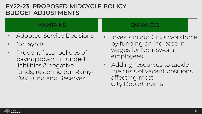#### MAINTAINS

- Adopted Service Decisions
- No layoffs
- Prudent fiscal policies of paying down unfunded liabilities & negative funds, restoring our Rainy-Day Fund and Reserves.

#### ENHANCES

- Invests in our City's workforce by funding an increase in wages for Non-Sworn employees
- Adding resources to tackle the crisis of vacant positions affecting most City Departments

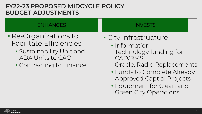#### ENHANCES

- Re-Organizations to Facilitate Efficiencies
	- Sustainability Unit and ADA Units to CAO
	- Contracting to Finance

#### INVESTS

- City Infrastructure
	- Information Technology funding for CAD/RMS,
		- Oracle, Radio Replacements
	- Funds to Complete Already Approved Captial Projects
	- Equipment for Clean and Green City Operations

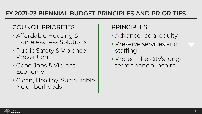### **FY 2021-23 BIENNIAL BUDGET PRINCIPLES AND PRIORITIES**

### COUNCIL PRIORITIES

- Affordable Housing & Homelessness Solutions
- Public Safety & Violence Prevention
- Good Jobs & Vibrant Economy
- Clean, Healthy, Sustainable Neighborhoods

### **PRINCIPLES**

- Advance racial equity
- Preserve services and staffing
- Protect the City's longterm financial health

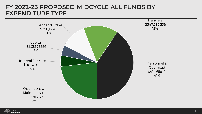### **FY 2022-23 PROPOSED MIDCYCLE ALL FUNDS BY EXPENDITURE TYPE**



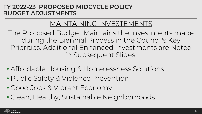### MAINTAINING INVESTEMENTS

The Proposed Budget Maintains the Investments made during the Biennial Process in the Council's Key Priorities. Additional Enhanced Investments are Noted in Subsequent Slides.

- Affordable Housing & Homelessness Solutions
- Public Safety & Violence Prevention
- Good Jobs & Vibrant Economy
- Clean, Healthy, Sustainable Neighborhoods

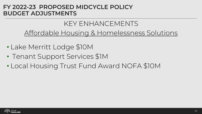### KEY ENHANCEMENTS Affordable Housing & Homelessness Solutions

- Lake Merritt Lodge \$10M
- Tenant Support Services \$1M
- Local Housing Trust Fund Award NOFA \$10M

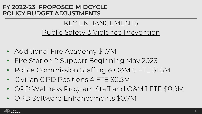### KEY ENHANCEMENTS Public Safety & Violence Prevention

- Additional Fire Academy \$1.7M
- Fire Station 2 Support Beginning May 2023
- Police Commission Staffing & O&M 6 FTE \$1.5M
- Civilian OPD Positions 4 FTE \$0.5M
- OPD Wellness Program Staff and O&M 1 FTE \$0.9M
- OPD Software Enhancements \$0.7M

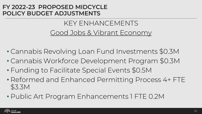### KEY ENHANCEMENTS Good Jobs & Vibrant Economy

- Cannabis Revolving Loan Fund Investments \$0.3M
- Cannabis Workforce Development Program \$0.3M
- Funding to Facilitate Special Events \$0.5M
- Reformed and Enhanced Permitting Process 4+ FTE \$3.3M
- Public Art Program Enhancements 1 FTE 0.2M

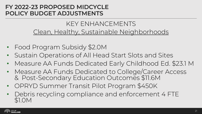### KEY ENHANCEMENTS Clean, Healthy, Sustainable Neighborhoods

- Food Program Subsidy \$2.0M
- Sustain Operations of All Head Start Slots and Sites
- Measure AA Funds Dedicated Early Childhood Ed. \$23.1 M
- Measure AA Funds Dedicated to College/Career Access & Post-Secondary Education Outcomes \$11.6M
- OPRYD Summer Transit Pilot Program \$450K
- Debris recycling compliance and enforcement 4 FTE \$1.0M

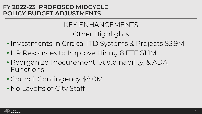### KEY ENHANCEMENTS **Other Highlights**

- Investments in Critical ITD Systems & Projects \$3.9M
- HR Resources to Improve Hiring 8 FTE \$1.1M
- Reorganize Procurement, Sustainability, & ADA Functions
- Council Contingency \$8.0M
- No Layoffs of City Staff

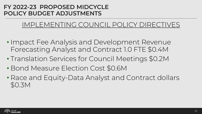### IMPLEMENTING COUNCIL POLICY DIRECTIVES

- Impact Fee Analysis and Development Revenue Forecasting Analyst and Contract 1.0 FTE \$0.4M
- Translation Services for Council Meetings \$0.2M
- Bond Measure Election Cost \$0.6M
- Race and Equity-Data Analyst and Contract dollars \$0.3M

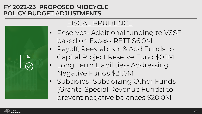### FISCAL PRUDENCE

- Reserves- Additional funding to VSSF based on Excess RETT \$6.0M
- Payoff, Reestablish, & Add Funds to Capital Project Reserve Fund \$0.1M
- Long Term Liabilities- Addressing Negative Funds \$21.6M
- Subsidies- Subsidizing Other Funds (Grants, Special Revenue Funds) to prevent negative balances \$20.0M

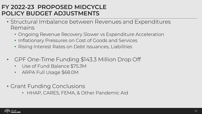- Structural Imbalance between Revenues and Expenditures Remains
	- Ongoing Revenue Recovery Slower vs Expenditure Acceleration
	- Inflationary Pressures on Cost of Goods and Services
	- Rising Interest Rates on Debt Issuances, Liabilities
- GPF One-Time Funding \$143.3 Million Drop Off
	- Use of Fund Balance \$75.3M
	- ARPA Full Usage \$68.0M
- Grant Funding Conclusions
	- HHAP, CARES, FEMA, & Other Pandemic Aid

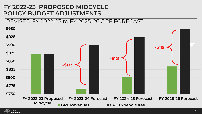

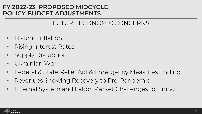### FUTURE ECONOMIC CONCERNS

- Historic Inflation
- Rising Interest Rates
- Supply Disruption
- Ukrainian War
- Federal & State Relief Aid & Emergency Measures Ending
- Revenues Showing Recovery to Pre-Pandemic
- Internal System and Labor Market Challenges to Hiring

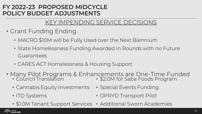### KEY IMPENDING SERVICE DECISIONS

- Grant Funding Ending
	- MACRO \$10M will be Fully Used over the Next Biennium
	- State Homelessness Funding Awarded in Rounds with no Future Guarantees
	- CARES ACT Homelessness & Housing Support
- Many Pilot Programs & Enhancements are One-Time Funded • Council Translation • \$2.0M for Saba Foods Program
	- Cannabis Equity Investments
	- ITD Systems
- Special Events Funding
- OPRYD Transport Pilot
- \$1.0M Tenant Support Services Additional Sworn Academies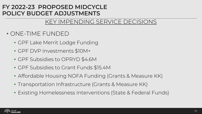### KEY IMPENDING SERVICE DECISIONS

### • ONE-TIME FUNDED

- GPF Lake Merrit Lodge Funding
- GPF DVP Investments \$10M+
- GPF Subsidies to OPRYD \$4.6M
- GPF Subsidies to Grant Funds \$15.4M
- Affordable Housing NOFA Funding (Grants & Measure KK)
- Transportation Infrastructure (Grants & Measure KK)
- Existing Homelessness Interventions (State & Federal Funds)

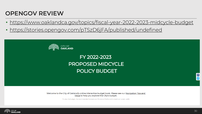### **OPENGOV REVIEW**

- https://www.oaklandca.gov/topics/fiscal-year-2022-2023-midcycle-budget
- https://stories.opengov.com/pTSzD6jFA/published/undefined



### FY 2022-2023 **PROPOSED MIDCYCLE POLICY BUDGET**

Welcome to the City of Oakland's online interactive budget book. Please see our Navigation Tips and FAQs to help you explore the City's budget.

To view the budget, the recommended browsers are Chrome or Firefox and in maximum screen width.



f. y